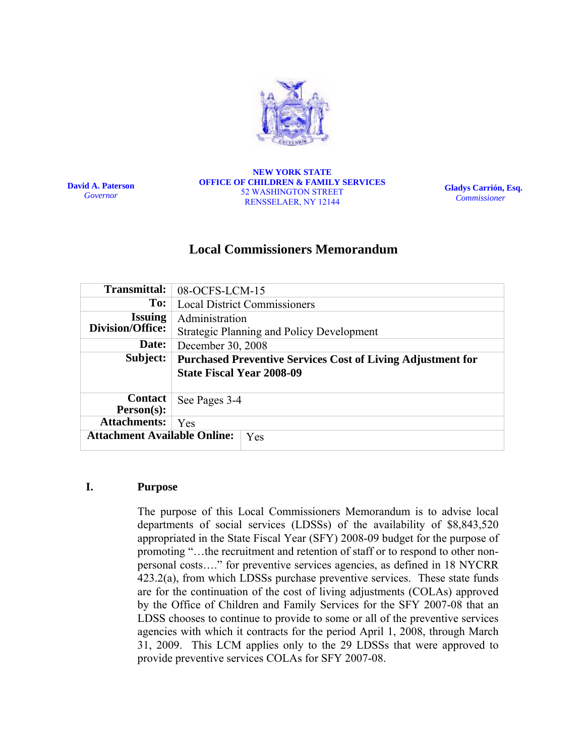

**David A. Paterson**  *Governor*

**NEW YORK STATE OFFICE OF CHILDREN & FAMILY SERVICES**  52 WASHINGTON STREET RENSSELAER, NY 12144

**Gladys Carrión, Esq.**   *Commissioner* 

# **Local Commissioners Memorandum**

| Transmittal:                               | 08-OCFS-LCM-15                                                     |
|--------------------------------------------|--------------------------------------------------------------------|
| To:                                        | <b>Local District Commissioners</b>                                |
| <b>Issuing</b>                             | Administration                                                     |
| Division/Office:                           | <b>Strategic Planning and Policy Development</b>                   |
| Date:                                      | December 30, 2008                                                  |
| Subject:                                   | <b>Purchased Preventive Services Cost of Living Adjustment for</b> |
|                                            | <b>State Fiscal Year 2008-09</b>                                   |
| <b>Contact</b><br>$Person(s)$ :            | See Pages 3-4                                                      |
| <b>Attachments:</b>                        | Yes                                                                |
| <b>Attachment Available Online:</b><br>Yes |                                                                    |

#### **I. Purpose**

The purpose of this Local Commissioners Memorandum is to advise local departments of social services (LDSSs) of the availability of \$8,843,520 appropriated in the State Fiscal Year (SFY) 2008-09 budget for the purpose of promoting "…the recruitment and retention of staff or to respond to other nonpersonal costs…." for preventive services agencies, as defined in 18 NYCRR 423.2(a), from which LDSSs purchase preventive services. These state funds are for the continuation of the cost of living adjustments (COLAs) approved by the Office of Children and Family Services for the SFY 2007-08 that an LDSS chooses to continue to provide to some or all of the preventive services agencies with which it contracts for the period April 1, 2008, through March 31, 2009. This LCM applies only to the 29 LDSSs that were approved to provide preventive services COLAs for SFY 2007-08.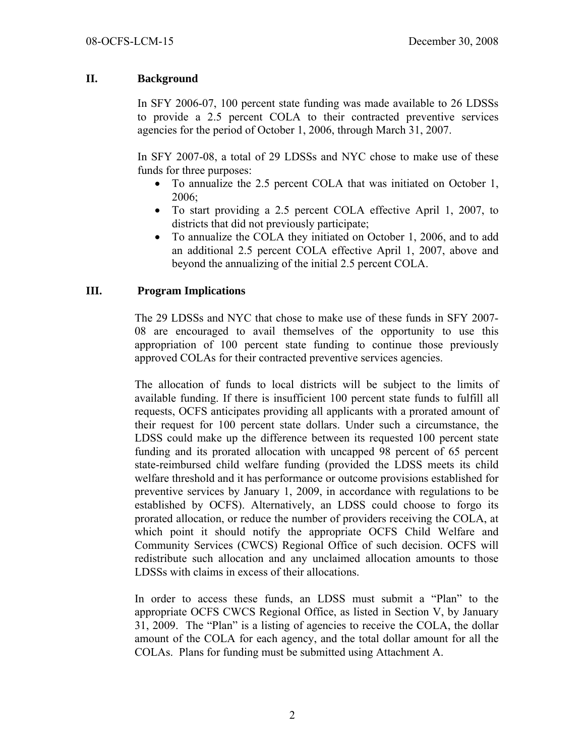## **II. Background**

In SFY 2006-07, 100 percent state funding was made available to 26 LDSSs to provide a 2.5 percent COLA to their contracted preventive services agencies for the period of October 1, 2006, through March 31, 2007.

In SFY 2007-08, a total of 29 LDSSs and NYC chose to make use of these funds for three purposes:

- To annualize the 2.5 percent COLA that was initiated on October 1, 2006;
- To start providing a 2.5 percent COLA effective April 1, 2007, to districts that did not previously participate;
- To annualize the COLA they initiated on October 1, 2006, and to add an additional 2.5 percent COLA effective April 1, 2007, above and beyond the annualizing of the initial 2.5 percent COLA.

### **III. Program Implications**

The 29 LDSSs and NYC that chose to make use of these funds in SFY 2007- 08 are encouraged to avail themselves of the opportunity to use this appropriation of 100 percent state funding to continue those previously approved COLAs for their contracted preventive services agencies.

The allocation of funds to local districts will be subject to the limits of available funding. If there is insufficient 100 percent state funds to fulfill all requests, OCFS anticipates providing all applicants with a prorated amount of their request for 100 percent state dollars. Under such a circumstance, the LDSS could make up the difference between its requested 100 percent state funding and its prorated allocation with uncapped 98 percent of 65 percent state-reimbursed child welfare funding (provided the LDSS meets its child welfare threshold and it has performance or outcome provisions established for preventive services by January 1, 2009, in accordance with regulations to be established by OCFS). Alternatively, an LDSS could choose to forgo its prorated allocation, or reduce the number of providers receiving the COLA, at which point it should notify the appropriate OCFS Child Welfare and Community Services (CWCS) Regional Office of such decision. OCFS will redistribute such allocation and any unclaimed allocation amounts to those LDSSs with claims in excess of their allocations.

In order to access these funds, an LDSS must submit a "Plan" to the appropriate OCFS CWCS Regional Office, as listed in Section V, by January 31, 2009. The "Plan" is a listing of agencies to receive the COLA, the dollar amount of the COLA for each agency, and the total dollar amount for all the COLAs. Plans for funding must be submitted using Attachment A.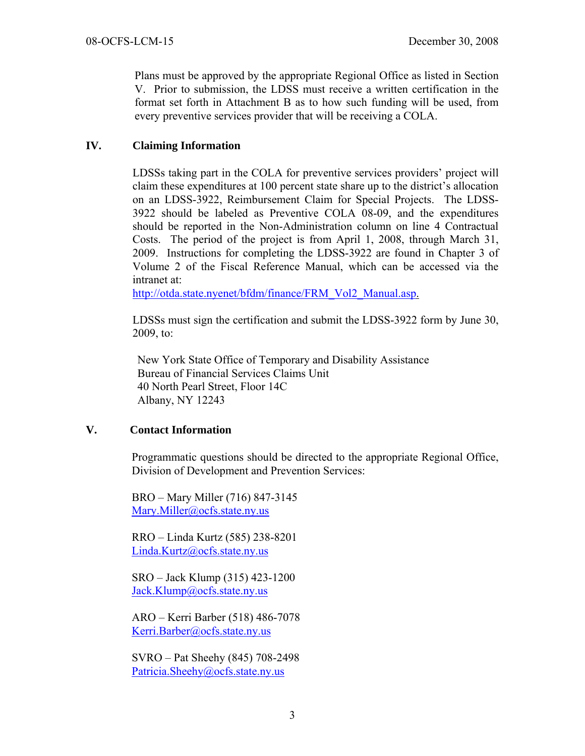Plans must be approved by the appropriate Regional Office as listed in Section V. Prior to submission, the LDSS must receive a written certification in the format set forth in Attachment B as to how such funding will be used, from every preventive services provider that will be receiving a COLA.

### **IV. Claiming Information**

LDSSs taking part in the COLA for preventive services providers' project will claim these expenditures at 100 percent state share up to the district's allocation on an LDSS-3922, Reimbursement Claim for Special Projects. The LDSS-3922 should be labeled as Preventive COLA 08-09, and the expenditures should be reported in the Non-Administration column on line 4 Contractual Costs. The period of the project is from April 1, 2008, through March 31, 2009. Instructions for completing the LDSS-3922 are found in Chapter 3 of Volume 2 of the Fiscal Reference Manual, which can be accessed via the intranet at:

http://otda.state.nyenet/bfdm/finance/FRM\_Vol2\_Manual.asp.

LDSSs must sign the certification and submit the LDSS-3922 form by June 30, 2009, to:

New York State Office of Temporary and Disability Assistance Bureau of Financial Services Claims Unit 40 North Pearl Street, Floor 14C Albany, NY 12243

# **V. Contact Information**

Programmatic questions should be directed to the appropriate Regional Office, Division of Development and Prevention Services:

BRO – Mary Miller (716) 847-3145 Mary.Miller@ocfs.state.ny.us

RRO – Linda Kurtz (585) 238-8201 Linda.Kurtz@ocfs.state.ny.us

SRO – Jack Klump (315) 423-1200 Jack.Klump@ocfs.state.ny.us

ARO – Kerri Barber (518) 486-7078 Kerri.Barber@ocfs.state.ny.us

SVRO – Pat Sheehy (845) 708-2498 Patricia.Sheehy@ocfs.state.ny.us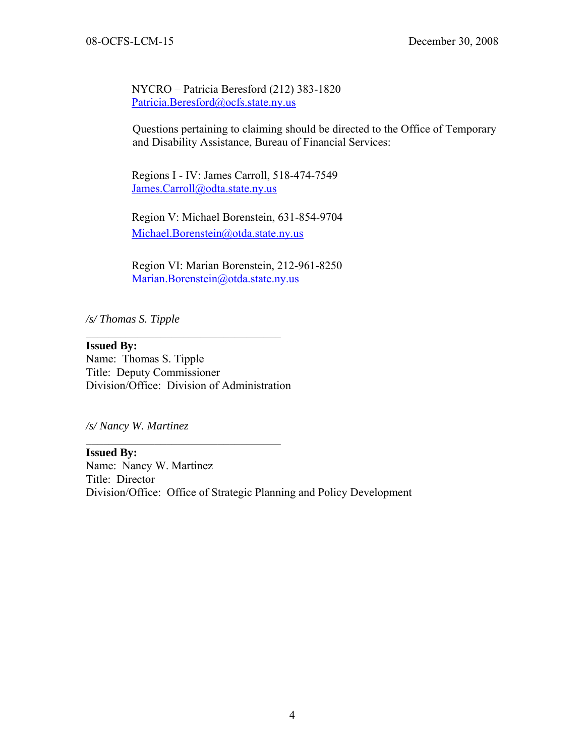NYCRO – Patricia Beresford (212) 383-1820 Patricia.Beresford@ocfs.state.ny.us

Questions pertaining to claiming should be directed to the Office of Temporary and Disability Assistance, Bureau of Financial Services:

 Regions I - IV: James Carroll, 518-474-7549 James.Carroll@odta.state.ny.us

 Region V: Michael Borenstein, 631-854-9704 Michael.Borenstein@otda.state.ny.us

 Region VI: Marian Borenstein, 212-961-8250 Marian.Borenstein@otda.state.ny.us

*/s/ Thomas S. Tipple* 

**Issued By:**  Name: Thomas S. Tipple Title: Deputy Commissioner Division/Office: Division of Administration

 $\mathcal{L}_\text{max}$  , where  $\mathcal{L}_\text{max}$  and  $\mathcal{L}_\text{max}$  and  $\mathcal{L}_\text{max}$ 

 $\mathcal{L}_\text{max}$ 

*/s/ Nancy W. Martinez* 

**Issued By:**  Name: Nancy W. Martinez Title: Director Division/Office: Office of Strategic Planning and Policy Development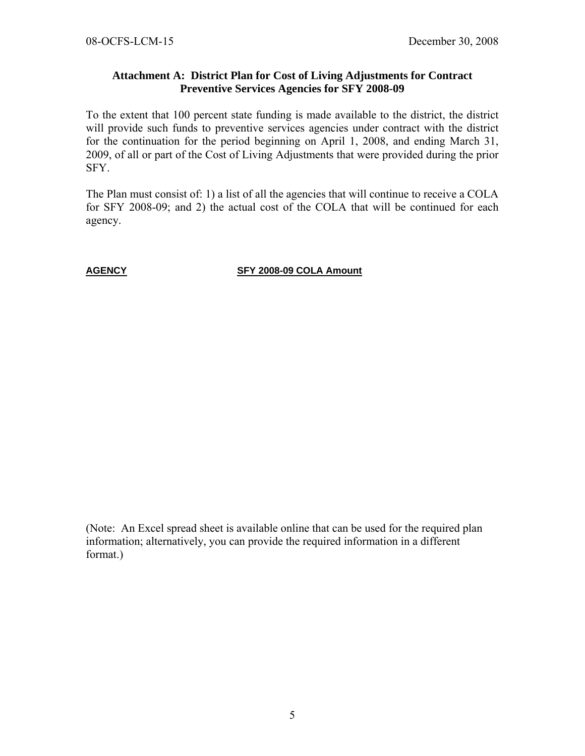#### **Attachment A: District Plan for Cost of Living Adjustments for Contract Preventive Services Agencies for SFY 2008-09**

To the extent that 100 percent state funding is made available to the district, the district will provide such funds to preventive services agencies under contract with the district for the continuation for the period beginning on April 1, 2008, and ending March 31, 2009, of all or part of the Cost of Living Adjustments that were provided during the prior SFY.

The Plan must consist of: 1) a list of all the agencies that will continue to receive a COLA for SFY 2008-09; and 2) the actual cost of the COLA that will be continued for each agency.

**AGENCY SFY 2008-09 COLA Amount** 

(Note: An Excel spread sheet is available online that can be used for the required plan information; alternatively, you can provide the required information in a different format.)